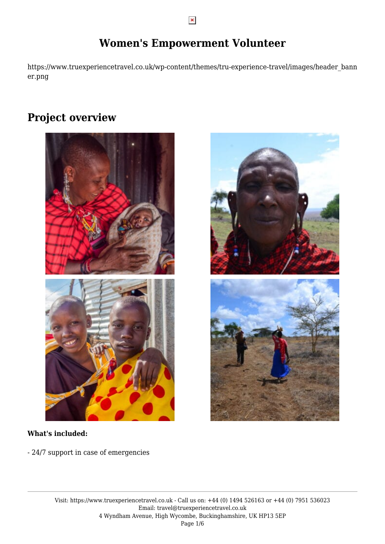https://www.truexperiencetravel.co.uk/wp-content/themes/tru-experience-travel/images/header\_bann er.png

# **Project overview**





- 24/7 support in case of emergencies



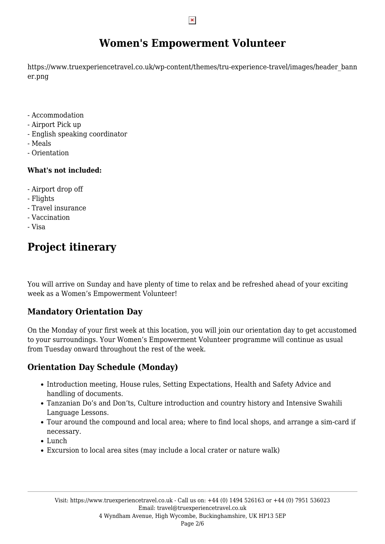https://www.truexperiencetravel.co.uk/wp-content/themes/tru-experience-travel/images/header\_bann er.png

- Accommodation
- Airport Pick up
- English speaking coordinator
- Meals
- Orientation

### **What's not included:**

- Airport drop off
- Flights
- Travel insurance
- Vaccination
- Visa

# **Project itinerary**

You will arrive on Sunday and have plenty of time to relax and be refreshed ahead of your exciting week as a Women's Empowerment Volunteer!

## **Mandatory Orientation Day**

On the Monday of your first week at this location, you will join our orientation day to get accustomed to your surroundings. Your Women's Empowerment Volunteer programme will continue as usual from Tuesday onward throughout the rest of the week.

## **Orientation Day Schedule (Monday)**

- Introduction meeting, House rules, Setting Expectations, Health and Safety Advice and handling of documents.
- Tanzanian Do's and Don'ts, Culture introduction and country history and Intensive Swahili Language Lessons.
- Tour around the compound and local area; where to find local shops, and arrange a sim-card if necessary.
- Lunch
- Excursion to local area sites (may include a local crater or nature walk)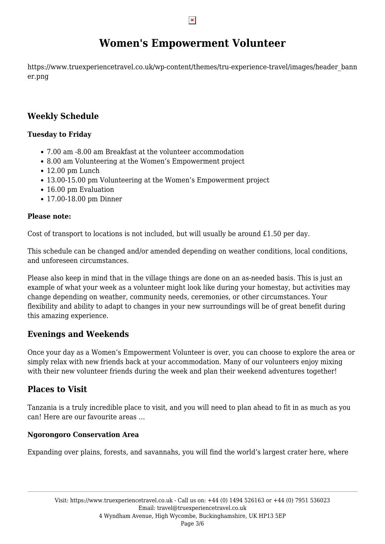https://www.truexperiencetravel.co.uk/wp-content/themes/tru-experience-travel/images/header\_bann er.png

## **Weekly Schedule**

### **Tuesday to Friday**

- 7.00 am -8.00 am Breakfast at the volunteer accommodation
- 8.00 am Volunteering at the Women's Empowerment project
- $\cdot$  12.00 pm Lunch
- 13.00-15.00 pm Volunteering at the Women's Empowerment project
- 16.00 pm Evaluation
- 17.00-18.00 pm Dinner

### **Please note:**

Cost of transport to locations is not included, but will usually be around £1.50 per day.

This schedule can be changed and/or amended depending on weather conditions, local conditions, and unforeseen circumstances.

Please also keep in mind that in the village things are done on an as-needed basis. This is just an example of what your week as a volunteer might look like during your homestay, but activities may change depending on weather, community needs, ceremonies, or other circumstances. Your flexibility and ability to adapt to changes in your new surroundings will be of great benefit during this amazing experience.

## **Evenings and Weekends**

Once your day as a Women's Empowerment Volunteer is over, you can choose to explore the area or simply relax with new friends back at your accommodation. Many of our volunteers enjoy mixing with their new volunteer friends during the week and plan their weekend adventures together!

## **Places to Visit**

Tanzania is a truly incredible place to visit, and you will need to plan ahead to fit in as much as you can! Here are our favourite areas …

### **Ngorongoro Conservation Area**

Expanding over plains, forests, and savannahs, you will find the world's largest crater here, where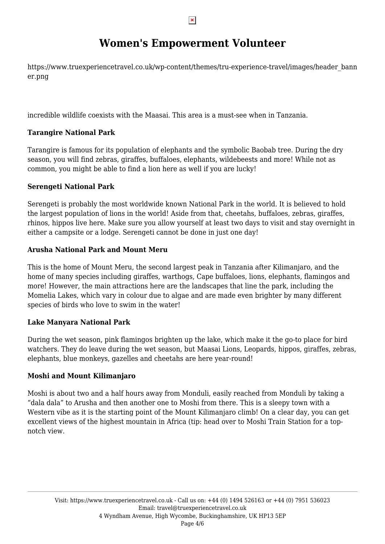https://www.truexperiencetravel.co.uk/wp-content/themes/tru-experience-travel/images/header\_bann er.png

incredible wildlife coexists with the Maasai. This area is a must-see when in Tanzania.

### **Tarangire National Park**

Tarangire is famous for its population of elephants and the symbolic Baobab tree. During the dry season, you will find zebras, giraffes, buffaloes, elephants, wildebeests and more! While not as common, you might be able to find a lion here as well if you are lucky!

### **Serengeti National Park**

Serengeti is probably the most worldwide known National Park in the world. It is believed to hold the largest population of lions in the world! Aside from that, cheetahs, buffaloes, zebras, giraffes, rhinos, hippos live here. Make sure you allow yourself at least two days to visit and stay overnight in either a campsite or a lodge. Serengeti cannot be done in just one day!

### **Arusha National Park and Mount Meru**

This is the home of Mount Meru, the second largest peak in Tanzania after Kilimanjaro, and the home of many species including giraffes, warthogs, Cape buffaloes, lions, elephants, flamingos and more! However, the main attractions here are the landscapes that line the park, including the Momelia Lakes, which vary in colour due to algae and are made even brighter by many different species of birds who love to swim in the water!

#### **Lake Manyara National Park**

During the wet season, pink flamingos brighten up the lake, which make it the go-to place for bird watchers. They do leave during the wet season, but Maasai Lions, Leopards, hippos, giraffes, zebras, elephants, blue monkeys, gazelles and cheetahs are here year-round!

### **Moshi and Mount Kilimanjaro**

Moshi is about two and a half hours away from Monduli, easily reached from Monduli by taking a "dala dala" to Arusha and then another one to Moshi from there. This is a sleepy town with a Western vibe as it is the starting point of the Mount Kilimanjaro climb! On a clear day, you can get excellent views of the highest mountain in Africa (tip: head over to Moshi Train Station for a topnotch view.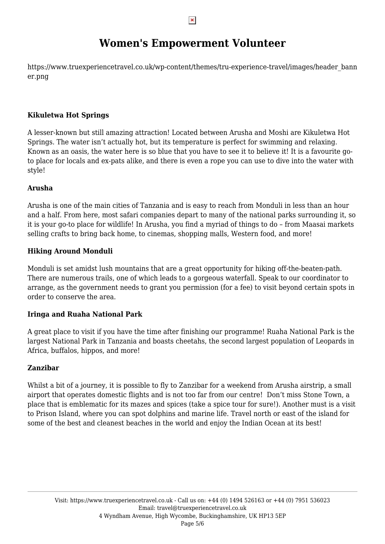https://www.truexperiencetravel.co.uk/wp-content/themes/tru-experience-travel/images/header\_bann er.png

#### **Kikuletwa Hot Springs**

A lesser-known but still amazing attraction! Located between Arusha and Moshi are Kikuletwa Hot Springs. The water isn't actually hot, but its temperature is perfect for swimming and relaxing. Known as an oasis, the water here is so blue that you have to see it to believe it! It is a favourite goto place for locals and ex-pats alike, and there is even a rope you can use to dive into the water with style!

#### **Arusha**

Arusha is one of the main cities of Tanzania and is easy to reach from Monduli in less than an hour and a half. From here, most safari companies depart to many of the national parks surrounding it, so it is your go-to place for wildlife! In Arusha, you find a myriad of things to do – from Maasai markets selling crafts to bring back home, to cinemas, shopping malls, Western food, and more!

#### **Hiking Around Monduli**

Monduli is set amidst lush mountains that are a great opportunity for hiking off-the-beaten-path. There are numerous trails, one of which leads to a gorgeous waterfall. Speak to our coordinator to arrange, as the government needs to grant you permission (for a fee) to visit beyond certain spots in order to conserve the area.

#### **Iringa and Ruaha National Park**

A great place to visit if you have the time after finishing our programme! Ruaha National Park is the largest National Park in Tanzania and boasts cheetahs, the second largest population of Leopards in Africa, buffalos, hippos, and more!

#### **Zanzibar**

Whilst a bit of a journey, it is possible to fly to Zanzibar for a weekend from Arusha airstrip, a small airport that operates domestic flights and is not too far from our centre! Don't miss Stone Town, a place that is emblematic for its mazes and spices (take a spice tour for sure!). Another must is a visit to Prison Island, where you can spot dolphins and marine life. Travel north or east of the island for some of the best and cleanest beaches in the world and enjoy the Indian Ocean at its best!